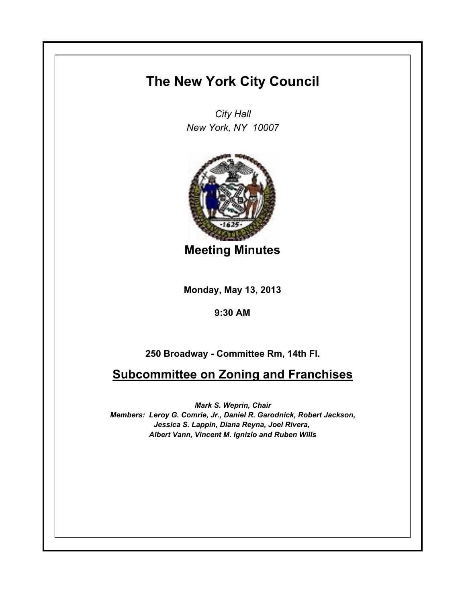## **The New York City Council**

*City Hall New York, NY 10007*



**Meeting Minutes**

**Monday, May 13, 2013**

**9:30 AM**

**250 Broadway - Committee Rm, 14th Fl.**

**Subcommittee on Zoning and Franchises**

*Mark S. Weprin, Chair Members: Leroy G. Comrie, Jr., Daniel R. Garodnick, Robert Jackson, Jessica S. Lappin, Diana Reyna, Joel Rivera, Albert Vann, Vincent M. Ignizio and Ruben Wills*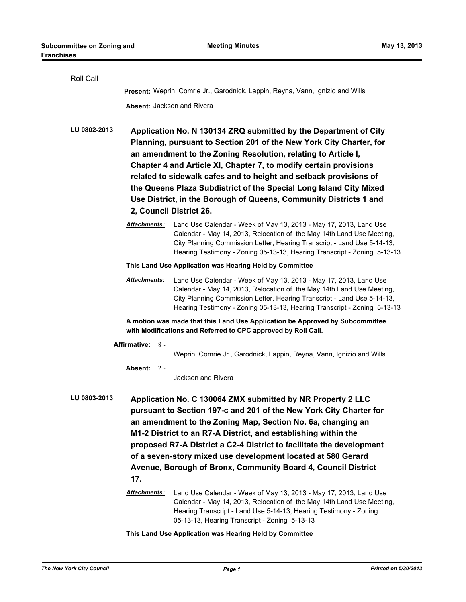| Roll Call        |                                                                                                                                                                                                                                                                                                                                                                                                                                                                                                                          |                                                                                                                                                                                                                                                                                                   |  |  |
|------------------|--------------------------------------------------------------------------------------------------------------------------------------------------------------------------------------------------------------------------------------------------------------------------------------------------------------------------------------------------------------------------------------------------------------------------------------------------------------------------------------------------------------------------|---------------------------------------------------------------------------------------------------------------------------------------------------------------------------------------------------------------------------------------------------------------------------------------------------|--|--|
|                  | Present: Weprin, Comrie Jr., Garodnick, Lappin, Reyna, Vann, Ignizio and Wills                                                                                                                                                                                                                                                                                                                                                                                                                                           |                                                                                                                                                                                                                                                                                                   |  |  |
|                  | Absent: Jackson and Rivera                                                                                                                                                                                                                                                                                                                                                                                                                                                                                               |                                                                                                                                                                                                                                                                                                   |  |  |
| LU 0802-2013     | Application No. N 130134 ZRQ submitted by the Department of City<br>Planning, pursuant to Section 201 of the New York City Charter, for<br>an amendment to the Zoning Resolution, relating to Article I,<br>Chapter 4 and Article XI, Chapter 7, to modify certain provisions<br>related to sidewalk cafes and to height and setback provisions of<br>the Queens Plaza Subdistrict of the Special Long Island City Mixed<br>Use District, in the Borough of Queens, Community Districts 1 and<br>2, Council District 26. |                                                                                                                                                                                                                                                                                                   |  |  |
|                  | <b>Attachments:</b>                                                                                                                                                                                                                                                                                                                                                                                                                                                                                                      | Land Use Calendar - Week of May 13, 2013 - May 17, 2013, Land Use<br>Calendar - May 14, 2013, Relocation of the May 14th Land Use Meeting,<br>City Planning Commission Letter, Hearing Transcript - Land Use 5-14-13,<br>Hearing Testimony - Zoning 05-13-13, Hearing Transcript - Zoning 5-13-13 |  |  |
|                  | This Land Use Application was Hearing Held by Committee                                                                                                                                                                                                                                                                                                                                                                                                                                                                  |                                                                                                                                                                                                                                                                                                   |  |  |
|                  | <b>Attachments:</b>                                                                                                                                                                                                                                                                                                                                                                                                                                                                                                      | Land Use Calendar - Week of May 13, 2013 - May 17, 2013, Land Use<br>Calendar - May 14, 2013, Relocation of the May 14th Land Use Meeting,<br>City Planning Commission Letter, Hearing Transcript - Land Use 5-14-13,<br>Hearing Testimony - Zoning 05-13-13, Hearing Transcript - Zoning 5-13-13 |  |  |
|                  | A motion was made that this Land Use Application be Approved by Subcommittee<br>with Modifications and Referred to CPC approved by Roll Call.                                                                                                                                                                                                                                                                                                                                                                            |                                                                                                                                                                                                                                                                                                   |  |  |
| Affirmative: 8 - |                                                                                                                                                                                                                                                                                                                                                                                                                                                                                                                          |                                                                                                                                                                                                                                                                                                   |  |  |
|                  |                                                                                                                                                                                                                                                                                                                                                                                                                                                                                                                          | Weprin, Comrie Jr., Garodnick, Lappin, Reyna, Vann, Ignizio and Wills                                                                                                                                                                                                                             |  |  |
|                  | Absent: 2 -                                                                                                                                                                                                                                                                                                                                                                                                                                                                                                              | Jackson and Rivera                                                                                                                                                                                                                                                                                |  |  |
| LU 0803-2013     | Application No. C 130064 ZMX submitted by NR Property 2 LLC<br>pursuant to Section 197-c and 201 of the New York City Charter for<br>an amendment to the Zoning Map, Section No. 6a, changing an<br>M1-2 District to an R7-A District, and establishing within the<br>proposed R7-A District a C2-4 District to facilitate the development<br>of a seven-story mixed use development located at 580 Gerard<br>Avenue, Borough of Bronx, Community Board 4, Council District<br>17.                                       |                                                                                                                                                                                                                                                                                                   |  |  |
|                  | <u> Attachments:</u>                                                                                                                                                                                                                                                                                                                                                                                                                                                                                                     | Land Use Calendar - Week of May 13, 2013 - May 17, 2013, Land Use<br>Calendar - May 14, 2013, Relocation of the May 14th Land Use Meeting,<br>Hearing Transcript - Land Use 5-14-13, Hearing Testimony - Zoning<br>05-13-13, Hearing Transcript - Zoning 5-13-13                                  |  |  |

## **This Land Use Application was Hearing Held by Committee**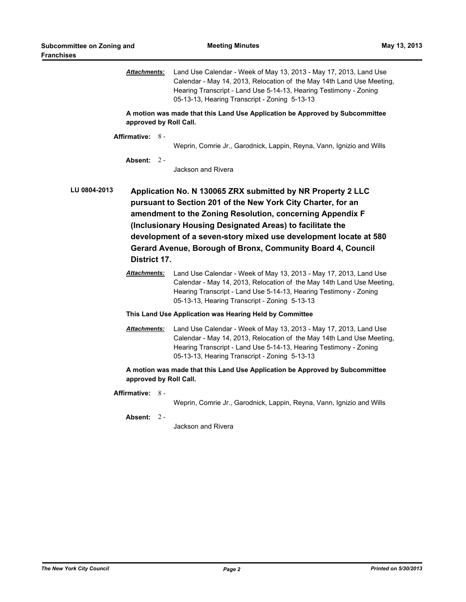|                                                                                                                                                                                                                                                                                                                                                                                                                          | <u> Attachments:</u>              | Land Use Calendar - Week of May 13, 2013 - May 17, 2013, Land Use<br>Calendar - May 14, 2013, Relocation of the May 14th Land Use Meeting,<br>Hearing Transcript - Land Use 5-14-13, Hearing Testimony - Zoning<br>05-13-13, Hearing Transcript - Zoning 5-13-13 |  |  |
|--------------------------------------------------------------------------------------------------------------------------------------------------------------------------------------------------------------------------------------------------------------------------------------------------------------------------------------------------------------------------------------------------------------------------|-----------------------------------|------------------------------------------------------------------------------------------------------------------------------------------------------------------------------------------------------------------------------------------------------------------|--|--|
| A motion was made that this Land Use Application be Approved by Subcommittee<br>approved by Roll Call.                                                                                                                                                                                                                                                                                                                   |                                   |                                                                                                                                                                                                                                                                  |  |  |
|                                                                                                                                                                                                                                                                                                                                                                                                                          | Affirmative: 8 -                  | Weprin, Comrie Jr., Garodnick, Lappin, Reyna, Vann, Ignizio and Wills                                                                                                                                                                                            |  |  |
|                                                                                                                                                                                                                                                                                                                                                                                                                          | Absent: $2 -$                     | Jackson and Rivera                                                                                                                                                                                                                                               |  |  |
| LU 0804-2013<br>Application No. N 130065 ZRX submitted by NR Property 2 LLC<br>pursuant to Section 201 of the New York City Charter, for an<br>amendment to the Zoning Resolution, concerning Appendix F<br>(Inclusionary Housing Designated Areas) to facilitate the<br>development of a seven-story mixed use development locate at 580<br>Gerard Avenue, Borough of Bronx, Community Board 4, Council<br>District 17. |                                   |                                                                                                                                                                                                                                                                  |  |  |
|                                                                                                                                                                                                                                                                                                                                                                                                                          | <u>Attachments:</u>               | Land Use Calendar - Week of May 13, 2013 - May 17, 2013, Land Use<br>Calendar - May 14, 2013, Relocation of the May 14th Land Use Meeting,<br>Hearing Transcript - Land Use 5-14-13, Hearing Testimony - Zoning<br>05-13-13, Hearing Transcript - Zoning 5-13-13 |  |  |
| This Land Use Application was Hearing Held by Committee                                                                                                                                                                                                                                                                                                                                                                  |                                   |                                                                                                                                                                                                                                                                  |  |  |
|                                                                                                                                                                                                                                                                                                                                                                                                                          | <b>Attachments:</b>               | Land Use Calendar - Week of May 13, 2013 - May 17, 2013, Land Use<br>Calendar - May 14, 2013, Relocation of the May 14th Land Use Meeting,<br>Hearing Transcript - Land Use 5-14-13, Hearing Testimony - Zoning<br>05-13-13, Hearing Transcript - Zoning 5-13-13 |  |  |
| A motion was made that this Land Use Application be Approved by Subcommittee<br>approved by Roll Call.                                                                                                                                                                                                                                                                                                                   |                                   |                                                                                                                                                                                                                                                                  |  |  |
|                                                                                                                                                                                                                                                                                                                                                                                                                          | Affirmative: 8 -<br>Absent: $2 -$ | Weprin, Comrie Jr., Garodnick, Lappin, Reyna, Vann, Ignizio and Wills<br>Jackson and Rivera                                                                                                                                                                      |  |  |
|                                                                                                                                                                                                                                                                                                                                                                                                                          |                                   |                                                                                                                                                                                                                                                                  |  |  |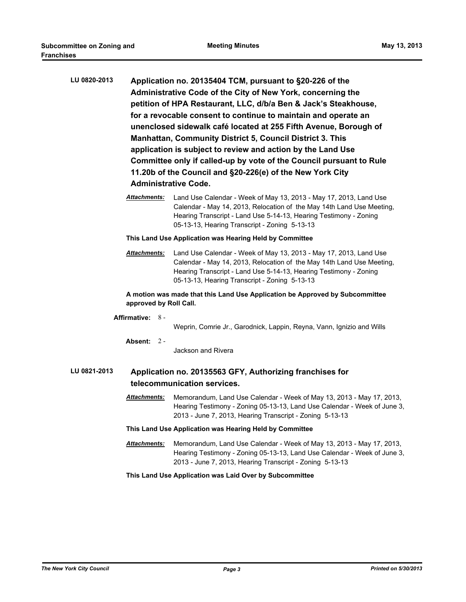| LU 0820-2013                                                                                            | Application no. 20135404 TCM, pursuant to §20-226 of the<br>Administrative Code of the City of New York, concerning the<br>petition of HPA Restaurant, LLC, d/b/a Ben & Jack's Steakhouse,<br>for a revocable consent to continue to maintain and operate an<br>unenclosed sidewalk café located at 255 Fifth Avenue, Borough of<br>Manhattan, Community District 5, Council District 3. This<br>application is subject to review and action by the Land Use<br>Committee only if called-up by vote of the Council pursuant to Rule<br>11.20b of the Council and §20-226(e) of the New York City<br><b>Administrative Code.</b> |                                                                                                                                                                                                                                                                  |  |  |  |
|---------------------------------------------------------------------------------------------------------|---------------------------------------------------------------------------------------------------------------------------------------------------------------------------------------------------------------------------------------------------------------------------------------------------------------------------------------------------------------------------------------------------------------------------------------------------------------------------------------------------------------------------------------------------------------------------------------------------------------------------------|------------------------------------------------------------------------------------------------------------------------------------------------------------------------------------------------------------------------------------------------------------------|--|--|--|
|                                                                                                         | Attachments:                                                                                                                                                                                                                                                                                                                                                                                                                                                                                                                                                                                                                    | Land Use Calendar - Week of May 13, 2013 - May 17, 2013, Land Use<br>Calendar - May 14, 2013, Relocation of the May 14th Land Use Meeting,<br>Hearing Transcript - Land Use 5-14-13, Hearing Testimony - Zoning<br>05-13-13, Hearing Transcript - Zoning 5-13-13 |  |  |  |
|                                                                                                         | This Land Use Application was Hearing Held by Committee                                                                                                                                                                                                                                                                                                                                                                                                                                                                                                                                                                         |                                                                                                                                                                                                                                                                  |  |  |  |
|                                                                                                         | <b>Attachments:</b>                                                                                                                                                                                                                                                                                                                                                                                                                                                                                                                                                                                                             | Land Use Calendar - Week of May 13, 2013 - May 17, 2013, Land Use<br>Calendar - May 14, 2013, Relocation of the May 14th Land Use Meeting,<br>Hearing Transcript - Land Use 5-14-13, Hearing Testimony - Zoning<br>05-13-13, Hearing Transcript - Zoning 5-13-13 |  |  |  |
|                                                                                                         | A motion was made that this Land Use Application be Approved by Subcommittee<br>approved by Roll Call.                                                                                                                                                                                                                                                                                                                                                                                                                                                                                                                          |                                                                                                                                                                                                                                                                  |  |  |  |
|                                                                                                         | Affirmative: 8 -                                                                                                                                                                                                                                                                                                                                                                                                                                                                                                                                                                                                                | Weprin, Comrie Jr., Garodnick, Lappin, Reyna, Vann, Ignizio and Wills                                                                                                                                                                                            |  |  |  |
|                                                                                                         | Absent: 2 -                                                                                                                                                                                                                                                                                                                                                                                                                                                                                                                                                                                                                     | Jackson and Rivera                                                                                                                                                                                                                                               |  |  |  |
| LU 0821-2013<br>Application no. 20135563 GFY, Authorizing franchises for<br>telecommunication services. |                                                                                                                                                                                                                                                                                                                                                                                                                                                                                                                                                                                                                                 |                                                                                                                                                                                                                                                                  |  |  |  |
|                                                                                                         | Attachments:                                                                                                                                                                                                                                                                                                                                                                                                                                                                                                                                                                                                                    | Memorandum, Land Use Calendar - Week of May 13, 2013 - May 17, 2013,<br>Hearing Testimony - Zoning 05-13-13, Land Use Calendar - Week of June 3,<br>2013 - June 7, 2013, Hearing Transcript - Zoning 5-13-13                                                     |  |  |  |
|                                                                                                         | This Land Use Application was Hearing Held by Committee                                                                                                                                                                                                                                                                                                                                                                                                                                                                                                                                                                         |                                                                                                                                                                                                                                                                  |  |  |  |
|                                                                                                         | Attachments:                                                                                                                                                                                                                                                                                                                                                                                                                                                                                                                                                                                                                    | Memorandum, Land Use Calendar - Week of May 13, 2013 - May 17, 2013,<br>Hearing Testimony - Zoning 05-13-13, Land Use Calendar - Week of June 3,<br>2013 - June 7, 2013, Hearing Transcript - Zoning 5-13-13                                                     |  |  |  |
|                                                                                                         |                                                                                                                                                                                                                                                                                                                                                                                                                                                                                                                                                                                                                                 | This Land Use Application was Laid Over by Subcommittee                                                                                                                                                                                                          |  |  |  |